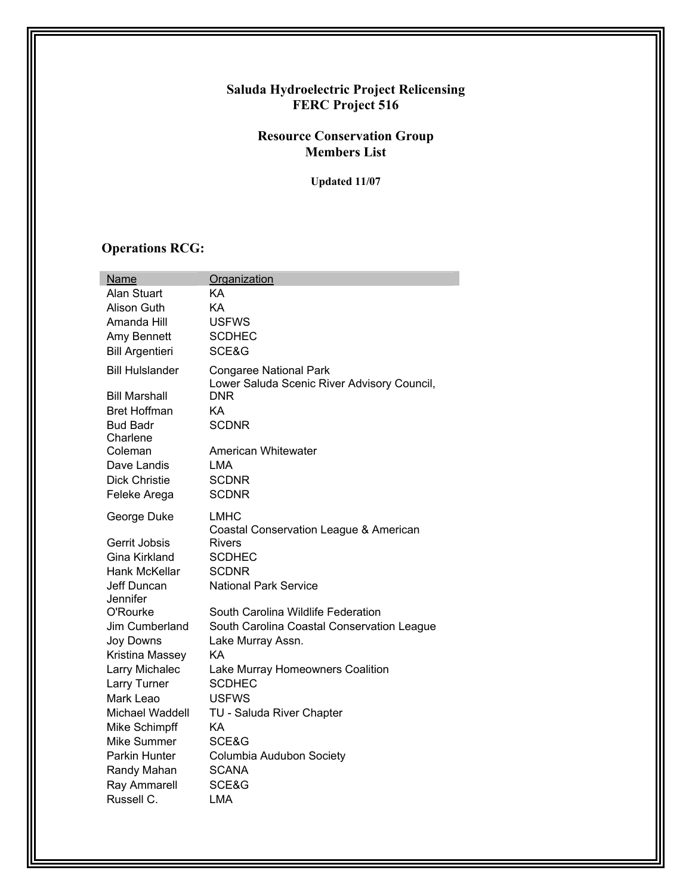#### **Saluda Hydroelectric Project Relicensing FERC Project 516**

#### **Resource Conservation Group Members List**

**Updated 11/07** 

### **Operations RCG:**

| Name                   | Organization                                                                 |
|------------------------|------------------------------------------------------------------------------|
| Alan Stuart            | KA                                                                           |
| Alison Guth            | KA                                                                           |
| Amanda Hill            | <b>USFWS</b>                                                                 |
| Amy Bennett            | <b>SCDHEC</b>                                                                |
| <b>Bill Argentieri</b> | SCE&G                                                                        |
| <b>Bill Hulslander</b> | <b>Congaree National Park</b><br>Lower Saluda Scenic River Advisory Council, |
| <b>Bill Marshall</b>   | <b>DNR</b>                                                                   |
| <b>Bret Hoffman</b>    | KA                                                                           |
| <b>Bud Badr</b>        | <b>SCDNR</b>                                                                 |
| Charlene               |                                                                              |
| Coleman                | American Whitewater                                                          |
| Dave Landis            | LMA                                                                          |
| <b>Dick Christie</b>   | <b>SCDNR</b>                                                                 |
| Feleke Arega           | <b>SCDNR</b>                                                                 |
| George Duke            | <b>LMHC</b><br>Coastal Conservation League & American                        |
| Gerrit Jobsis          | <b>Rivers</b>                                                                |
| Gina Kirkland          | <b>SCDHEC</b>                                                                |
| Hank McKellar          | <b>SCDNR</b>                                                                 |
| Jeff Duncan            | <b>National Park Service</b>                                                 |
| Jennifer               |                                                                              |
| O'Rourke               | South Carolina Wildlife Federation                                           |
| Jim Cumberland         | South Carolina Coastal Conservation League                                   |
| Joy Downs              | Lake Murray Assn.                                                            |
| Kristina Massey        | KA                                                                           |
| Larry Michalec         | Lake Murray Homeowners Coalition                                             |
| Larry Turner           | <b>SCDHEC</b>                                                                |
| Mark Leao              | <b>USFWS</b>                                                                 |
| <b>Michael Waddell</b> | TU - Saluda River Chapter                                                    |
| Mike Schimpff          | KA                                                                           |
| Mike Summer            | SCE&G                                                                        |
| <b>Parkin Hunter</b>   | Columbia Audubon Society                                                     |
| Randy Mahan            | <b>SCANA</b>                                                                 |
| Ray Ammarell           | SCE&G                                                                        |
| Russell C.             | <b>LMA</b>                                                                   |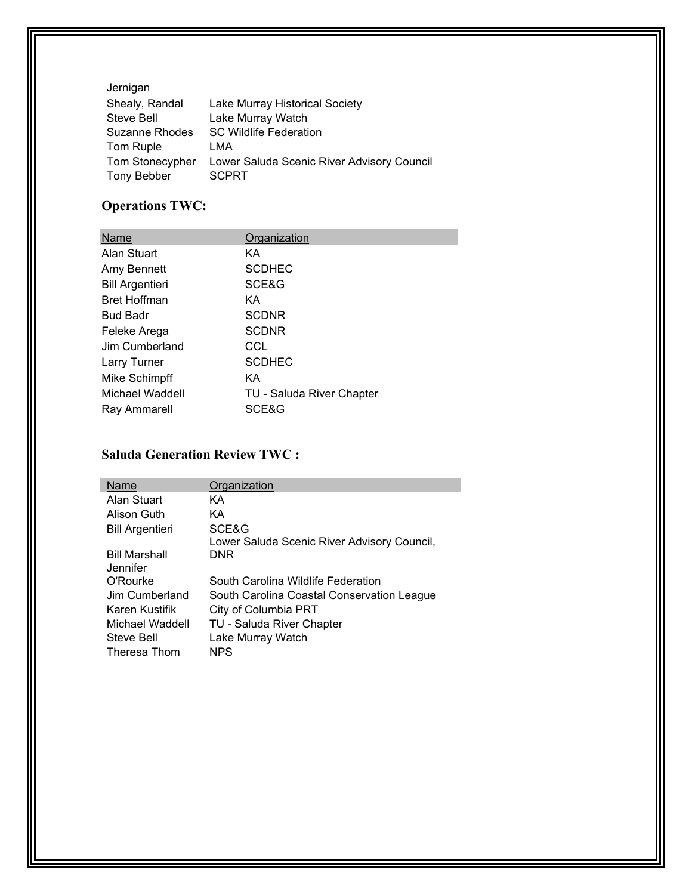| Jernigan        |                                            |
|-----------------|--------------------------------------------|
| Shealy, Randal  | Lake Murray Historical Society             |
| Steve Bell      | Lake Murray Watch                          |
| Suzanne Rhodes  | <b>SC Wildlife Federation</b>              |
| Tom Ruple       | LMA                                        |
| Tom Stonecypher | Lower Saluda Scenic River Advisory Council |
| Tony Bebber     | <b>SCPRT</b>                               |

# **Operations TWC:**

| Name                   | Organization              |
|------------------------|---------------------------|
| Alan Stuart            | KА                        |
| Amy Bennett            | <b>SCDHEC</b>             |
| <b>Bill Argentieri</b> | SCE&G                     |
| <b>Bret Hoffman</b>    | ΚA                        |
| <b>Bud Badr</b>        | <b>SCDNR</b>              |
| Feleke Arega           | <b>SCDNR</b>              |
| Jim Cumberland         | CCL                       |
| Larry Turner           | <b>SCDHEC</b>             |
| Mike Schimpff          | KА                        |
| Michael Waddell        | TU - Saluda River Chapter |
| Ray Ammarell           | SCE&G                     |

## **Saluda Generation Review TWC :**

| Name                             | Organization                                |
|----------------------------------|---------------------------------------------|
| Alan Stuart                      | КA                                          |
| Alison Guth                      | КA                                          |
| <b>Bill Argentieri</b>           | SCE&G                                       |
|                                  | Lower Saluda Scenic River Advisory Council, |
| <b>Bill Marshall</b><br>Jennifer | DNR                                         |
| O'Rourke                         | South Carolina Wildlife Federation          |
| Jim Cumberland                   | South Carolina Coastal Conservation League  |
| Karen Kustifik                   | City of Columbia PRT                        |
| Michael Waddell                  | TU - Saluda River Chapter                   |
| Steve Bell                       | Lake Murray Watch                           |
| Theresa Thom                     | NPS                                         |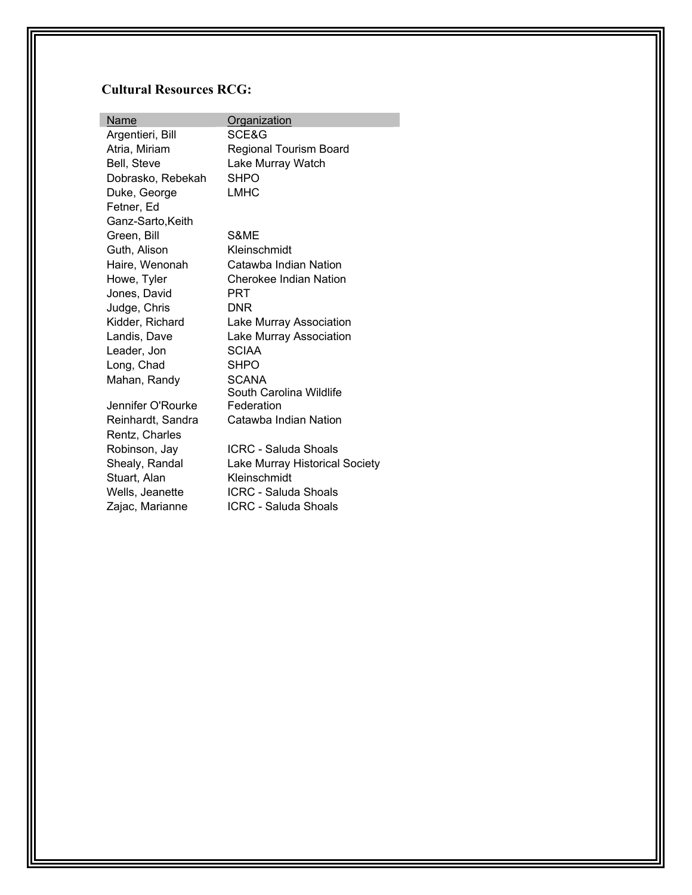# **Cultural Resources RCG:**

| Name              | <b>Organization</b>            |
|-------------------|--------------------------------|
| Argentieri, Bill  | SCE&G                          |
| Atria, Miriam     | <b>Regional Tourism Board</b>  |
| Bell, Steve       | Lake Murray Watch              |
| Dobrasko, Rebekah | SHPO                           |
| Duke, George      | <b>LMHC</b>                    |
| Fetner, Ed        |                                |
| Ganz-Sarto, Keith |                                |
| Green, Bill       | S&ME                           |
| Guth, Alison      | Kleinschmidt                   |
| Haire, Wenonah    | Catawba Indian Nation          |
| Howe, Tyler       | Cherokee Indian Nation         |
| Jones, David      | PRT                            |
| Judge, Chris      | <b>DNR</b>                     |
| Kidder, Richard   | Lake Murray Association        |
| Landis, Dave      | Lake Murray Association        |
| Leader, Jon       | <b>SCIAA</b>                   |
| Long, Chad        | <b>SHPO</b>                    |
| Mahan, Randy      | <b>SCANA</b>                   |
|                   | South Carolina Wildlife        |
| Jennifer O'Rourke | Federation                     |
| Reinhardt, Sandra | Catawba Indian Nation          |
| Rentz, Charles    |                                |
| Robinson, Jay     | <b>ICRC - Saluda Shoals</b>    |
| Shealy, Randal    | Lake Murray Historical Society |
| Stuart, Alan      | Kleinschmidt                   |
| Wells, Jeanette   | ICRC - Saluda Shoals           |
| Zajac, Marianne   | <b>ICRC - Saluda Shoals</b>    |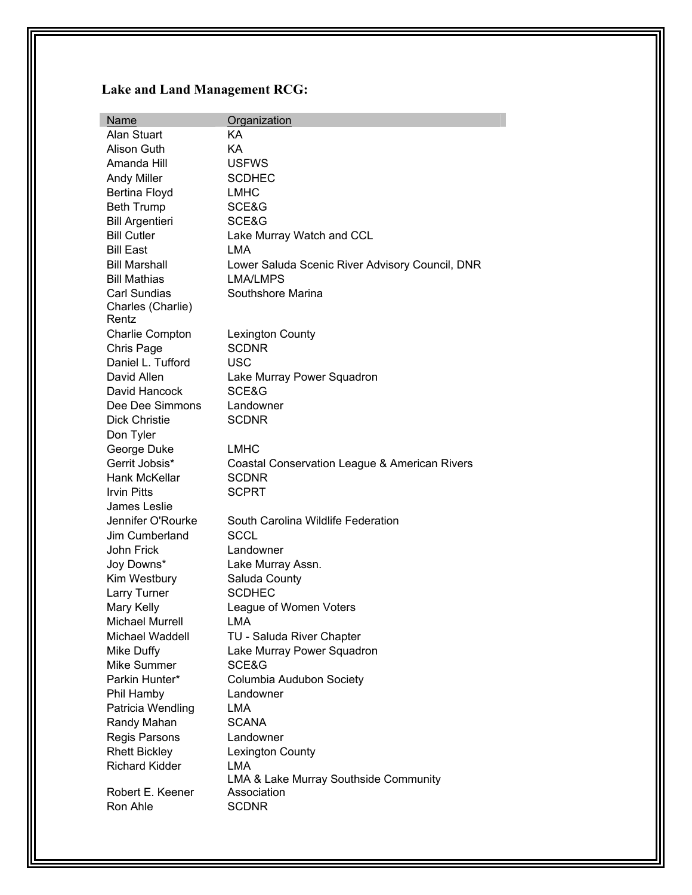# **Lake and Land Management RCG:**

| <b>Name</b>            | Organization                                    |
|------------------------|-------------------------------------------------|
| Alan Stuart            | KА                                              |
| Alison Guth            | KA                                              |
| Amanda Hill            | <b>USFWS</b>                                    |
| <b>Andy Miller</b>     | <b>SCDHEC</b>                                   |
| Bertina Floyd          | <b>LMHC</b>                                     |
| <b>Beth Trump</b>      | SCE&G                                           |
| <b>Bill Argentieri</b> | SCE&G                                           |
| <b>Bill Cutler</b>     | Lake Murray Watch and CCL                       |
| <b>Bill East</b>       | LMA                                             |
| <b>Bill Marshall</b>   | Lower Saluda Scenic River Advisory Council, DNR |
| <b>Bill Mathias</b>    | <b>LMA/LMPS</b>                                 |
| <b>Carl Sundias</b>    | Southshore Marina                               |
| Charles (Charlie)      |                                                 |
| Rentz                  |                                                 |
| <b>Charlie Compton</b> | <b>Lexington County</b>                         |
| Chris Page             | <b>SCDNR</b>                                    |
| Daniel L. Tufford      | <b>USC</b>                                      |
| David Allen            | Lake Murray Power Squadron                      |
| David Hancock          | SCE&G                                           |
| Dee Dee Simmons        | Landowner                                       |
| <b>Dick Christie</b>   | <b>SCDNR</b>                                    |
| Don Tyler              |                                                 |
| George Duke            | <b>LMHC</b>                                     |
| Gerrit Jobsis*         | Coastal Conservation League & American Rivers   |
| Hank McKellar          | <b>SCDNR</b>                                    |
| <b>Irvin Pitts</b>     | <b>SCPRT</b>                                    |
| James Leslie           |                                                 |
| Jennifer O'Rourke      | South Carolina Wildlife Federation              |
| Jim Cumberland         | <b>SCCL</b>                                     |
| John Frick             | Landowner                                       |
| Joy Downs*             | Lake Murray Assn.                               |
| Kim Westbury           | Saluda County                                   |
| Larry Turner           | <b>SCDHEC</b>                                   |
| Mary Kelly             | League of Women Voters                          |
| Michael Murrell        | LMA                                             |
| Michael Waddell        | TU - Saluda River Chapter                       |
| Mike Duffy             | Lake Murray Power Squadron                      |
| Mike Summer            | SCE&G                                           |
| Parkin Hunter*         | Columbia Audubon Society                        |
| Phil Hamby             | Landowner                                       |
| Patricia Wendling      | LMA                                             |
| Randy Mahan            | <b>SCANA</b>                                    |
| Regis Parsons          | Landowner                                       |
| <b>Rhett Bickley</b>   | Lexington County                                |
| <b>Richard Kidder</b>  | LMA                                             |
|                        | LMA & Lake Murray Southside Community           |
| Robert E. Keener       | Association                                     |
| Ron Ahle               | <b>SCDNR</b>                                    |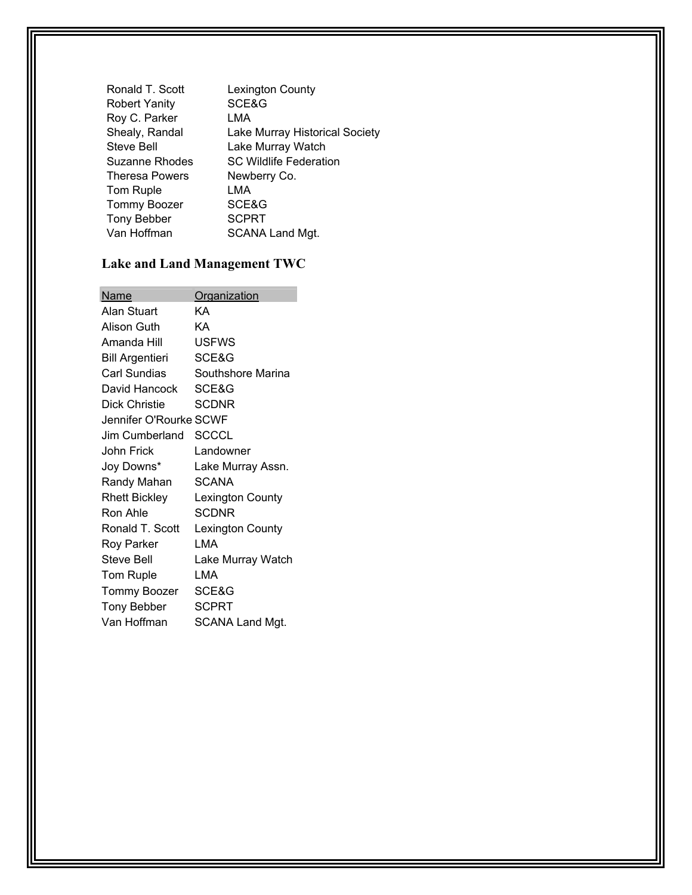| Ronald T. Scott | Lexington County               |
|-----------------|--------------------------------|
| Robert Yanity   | SCE&G                          |
| Roy C. Parker   | LMA                            |
| Shealy, Randal  | Lake Murray Historical Society |
| Steve Bell      | Lake Murray Watch              |
| Suzanne Rhodes  | <b>SC Wildlife Federation</b>  |
| Theresa Powers  | Newberry Co.                   |
| Tom Ruple       | LMA                            |
| Tommy Boozer    | SCE&G                          |
| Tony Bebber     | <b>SCPRT</b>                   |
| Van Hoffman     | SCANA Land Mgt.                |

# **Lake and Land Management TWC**

| Name                   | <u>Organization</u>    |
|------------------------|------------------------|
| Alan Stuart            | KΑ                     |
| Alison Guth            | KΑ                     |
| Amanda Hill            | <b>USFWS</b>           |
| <b>Bill Argentieri</b> | SCE&G                  |
| <b>Carl Sundias</b>    | Southshore Marina      |
| David Hancock          | SCE&G                  |
| Dick Christie          | <b>SCDNR</b>           |
| Jennifer O'Rourke SCWF |                        |
| Jim Cumberland         | <b>SCCCL</b>           |
| John Frick             | Landowner              |
| Joy Downs*             | Lake Murray Assn.      |
| Randy Mahan            | SCANA                  |
| <b>Rhett Bickley</b>   | Lexington County       |
| Ron Ahle               | <b>SCDNR</b>           |
| Ronald T. Scott        | Lexington County       |
| Roy Parker             | I MA                   |
| <b>Steve Bell</b>      | Lake Murray Watch      |
| Tom Ruple              | LMA                    |
| Tommy Boozer           | SCE&G                  |
| <b>Tony Bebber</b>     | <b>SCPRT</b>           |
| Van Hoffman            | <b>SCANA Land Mgt.</b> |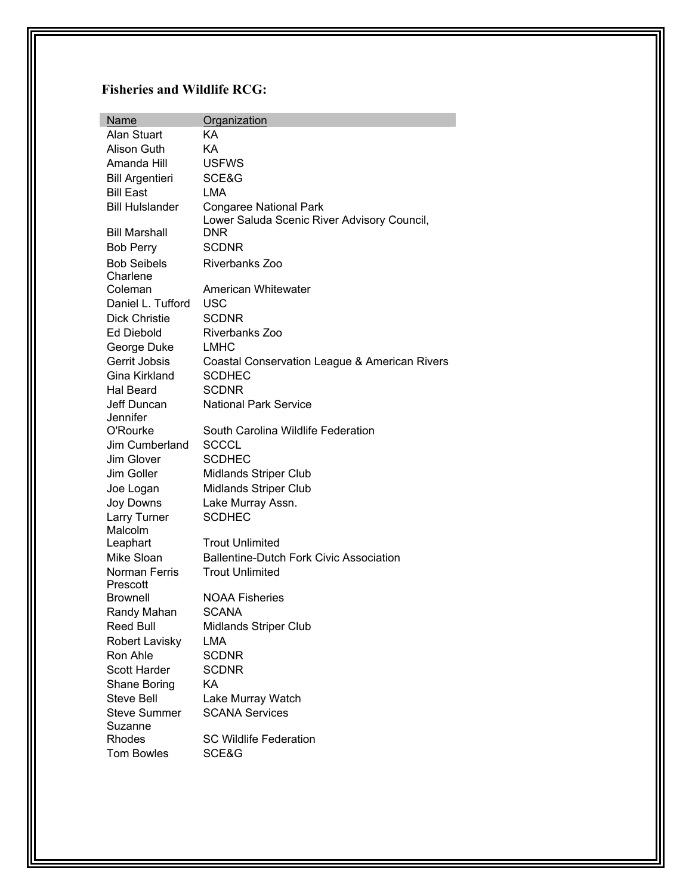#### **Fisheries and Wildlife RCG:**

| <u>Name</u>               | Organization                                                                 |
|---------------------------|------------------------------------------------------------------------------|
| Alan Stuart               | KА                                                                           |
| Alison Guth               | KA                                                                           |
| Amanda Hill               | <b>USFWS</b>                                                                 |
| <b>Bill Argentieri</b>    | SCE&G                                                                        |
| <b>Bill East</b>          | <b>LMA</b>                                                                   |
| <b>Bill Hulslander</b>    | <b>Congaree National Park</b><br>Lower Saluda Scenic River Advisory Council, |
| <b>Bill Marshall</b>      | <b>DNR</b>                                                                   |
| <b>Bob Perry</b>          | <b>SCDNR</b>                                                                 |
| <b>Bob Seibels</b>        | Riverbanks Zoo                                                               |
| Charlene                  |                                                                              |
| Coleman                   | American Whitewater                                                          |
| Daniel L. Tufford         | USC                                                                          |
| <b>Dick Christie</b>      | <b>SCDNR</b>                                                                 |
| Ed Diebold                | Riverbanks Zoo                                                               |
| George Duke               | <b>LMHC</b>                                                                  |
| Gerrit Jobsis             | Coastal Conservation League & American Rivers                                |
| Gina Kirkland             | <b>SCDHEC</b>                                                                |
| <b>Hal Beard</b>          | <b>SCDNR</b>                                                                 |
| Jeff Duncan               | <b>National Park Service</b>                                                 |
| Jennifer                  |                                                                              |
| O'Rourke                  | South Carolina Wildlife Federation                                           |
| Jim Cumberland            | SCCCL                                                                        |
| Jim Glover                | <b>SCDHEC</b>                                                                |
| Jim Goller                | <b>Midlands Striper Club</b>                                                 |
| Joe Logan                 | <b>Midlands Striper Club</b>                                                 |
| Joy Downs                 | Lake Murray Assn.                                                            |
| Larry Turner              | <b>SCDHEC</b>                                                                |
| Malcolm                   |                                                                              |
| Leaphart                  | <b>Trout Unlimited</b>                                                       |
| Mike Sloan                | <b>Ballentine-Dutch Fork Civic Association</b>                               |
| Norman Ferris<br>Prescott | <b>Trout Unlimited</b>                                                       |
| Brownell                  | <b>NOAA Fisheries</b>                                                        |
| Randy Mahan               | <b>SCANA</b>                                                                 |
| <b>Reed Bull</b>          | <b>Midlands Striper Club</b>                                                 |
| <b>Robert Lavisky</b>     | <b>LMA</b>                                                                   |
| Ron Ahle                  | <b>SCDNR</b>                                                                 |
| <b>Scott Harder</b>       | <b>SCDNR</b>                                                                 |
| Shane Boring              | <b>KA</b>                                                                    |
| <b>Steve Bell</b>         | Lake Murray Watch                                                            |
| <b>Steve Summer</b>       | <b>SCANA Services</b>                                                        |
| Suzanne                   |                                                                              |
| Rhodes                    | <b>SC Wildlife Federation</b>                                                |
| <b>Tom Bowles</b>         | SCE&G                                                                        |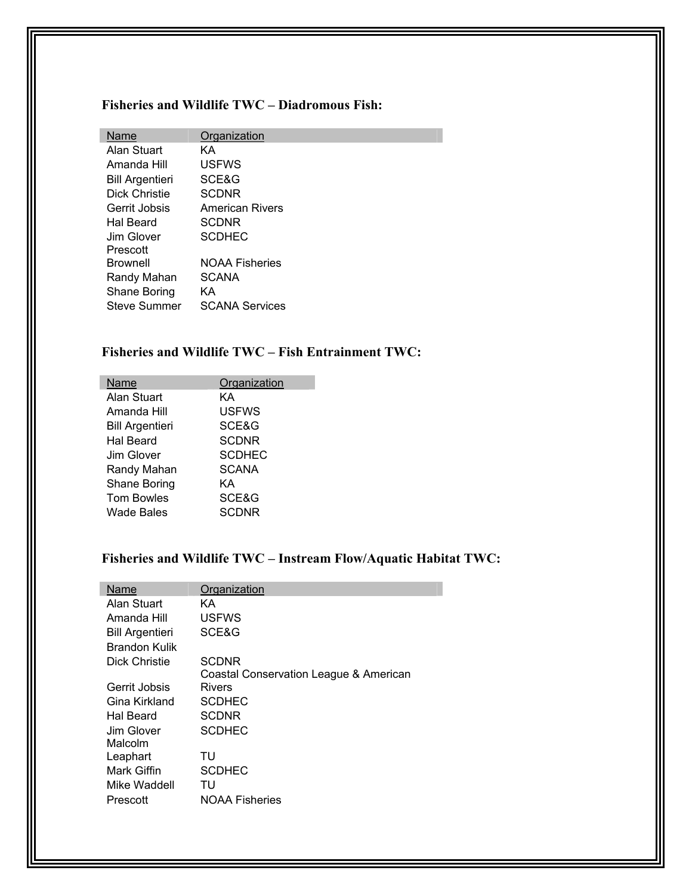#### **Fisheries and Wildlife TWC – Diadromous Fish:**

| Organization           |
|------------------------|
| KА                     |
| <b>USFWS</b>           |
| SCE&G                  |
| <b>SCDNR</b>           |
| <b>American Rivers</b> |
| <b>SCDNR</b>           |
| <b>SCDHEC</b>          |
|                        |
| <b>NOAA Fisheries</b>  |
| <b>SCANA</b>           |
| KА                     |
| <b>SCANA Services</b>  |
|                        |

#### **Fisheries and Wildlife TWC – Fish Entrainment TWC:**

| Name                   | Organization  |
|------------------------|---------------|
| Alan Stuart            | KΑ            |
| Amanda Hill            | <b>USFWS</b>  |
| <b>Bill Argentieri</b> | SCE&G         |
| <b>Hal Beard</b>       | <b>SCDNR</b>  |
| Jim Glover             | <b>SCDHEC</b> |
| Randy Mahan            | <b>SCANA</b>  |
| Shane Boring           | KΑ            |
| <b>Tom Bowles</b>      | SCE&G         |
| <b>Wade Bales</b>      | SCDNR         |

#### **Fisheries and Wildlife TWC – Instream Flow/Aquatic Habitat TWC:**

П

| Name                   | Organization                           |
|------------------------|----------------------------------------|
| Alan Stuart            | KΑ                                     |
| Amanda Hill            | <b>USFWS</b>                           |
| <b>Bill Argentieri</b> | SCE&G                                  |
| Brandon Kulik          |                                        |
| Dick Christie          | <b>SCDNR</b>                           |
|                        | Coastal Conservation League & American |
| Gerrit Jobsis          | Rivers                                 |
| Gina Kirkland          | SCDHEC                                 |
| Hal Beard              | <b>SCDNR</b>                           |
| Jim Glover             | SCDHEC                                 |
| Malcolm                |                                        |
| Leaphart               | TU                                     |
| Mark Giffin            | <b>SCDHEC</b>                          |
| Mike Waddell           | TU                                     |
| Prescott               | <b>NOAA Fisheries</b>                  |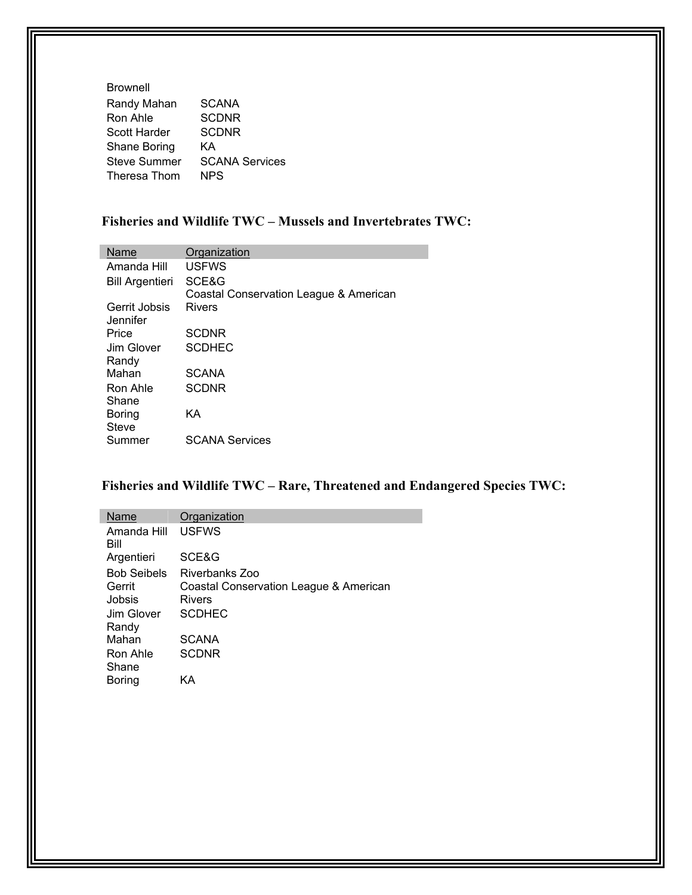| <b>SCANA</b>          |
|-----------------------|
| <b>SCDNR</b>          |
| <b>SCDNR</b>          |
| KΑ                    |
| <b>SCANA Services</b> |
| <b>NPS</b>            |
|                       |

#### **Fisheries and Wildlife TWC – Mussels and Invertebrates TWC:**

| Name                      | Organization                           |
|---------------------------|----------------------------------------|
| Amanda Hill               | <b>USFWS</b>                           |
| <b>Bill Argentieri</b>    | SCE&G                                  |
|                           | Coastal Conservation League & American |
| Gerrit Jobsis<br>Jennifer | Rivers                                 |
| Price                     | SCDNR                                  |
| Jim Glover                | <b>SCDHEC</b>                          |
| Randy                     |                                        |
| Mahan                     | <b>SCANA</b>                           |
| Ron Ahle                  | <b>SCDNR</b>                           |
| Shane                     |                                        |
| Boring                    | ΚA                                     |
| <b>Steve</b>              |                                        |
| Summer                    | <b>SCANA Services</b>                  |

#### **Fisheries and Wildlife TWC – Rare, Threatened and Endangered Species TWC:**

| Name                | Organization                           |
|---------------------|----------------------------------------|
| Amanda Hill<br>Bill | <b>USFWS</b>                           |
| Argentieri          | SCE&G                                  |
| <b>Bob Seibels</b>  | Riverbanks Zoo                         |
| Gerrit              | Coastal Conservation League & American |
| Jobsis              | <b>Rivers</b>                          |
| Jim Glover          | <b>SCDHEC</b>                          |
| Randy               |                                        |
| Mahan               | <b>SCANA</b>                           |
| Ron Ahle            | <b>SCDNR</b>                           |
| Shane               |                                        |
| Boring              | KΑ                                     |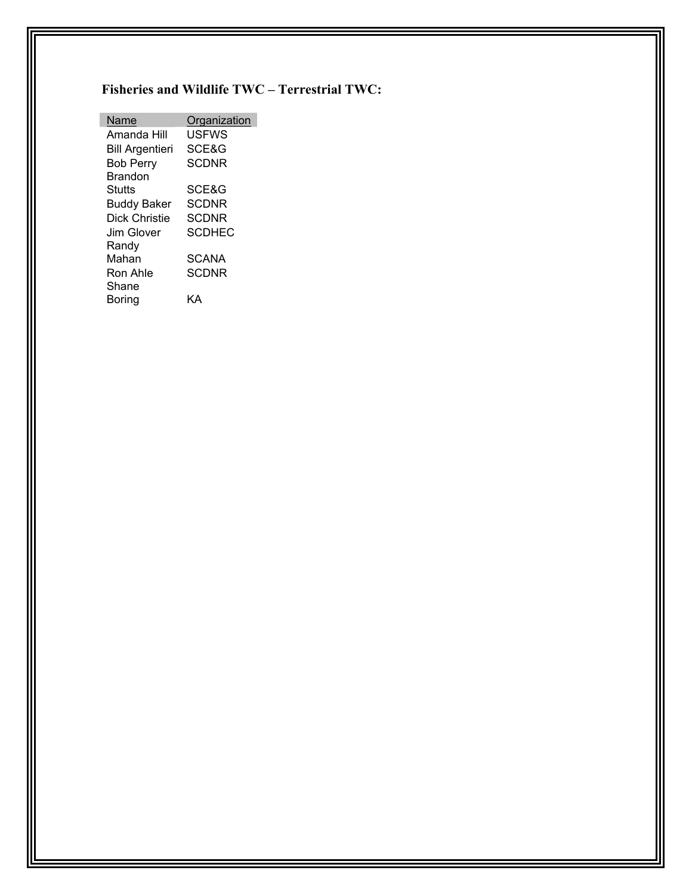#### **Fisheries and Wildlife TWC – Terrestrial TWC:**

| Name                   | Organization  |
|------------------------|---------------|
| Amanda Hill            | USFWS         |
| <b>Bill Argentieri</b> | SCE&G         |
| <b>Bob Perry</b>       | SCDNR         |
| Brandon                |               |
| Stutts                 | SCE&G         |
| <b>Buddy Baker</b>     | SCDNR         |
| Dick Christie          | <b>SCDNR</b>  |
| Jim Glover             | <b>SCDHEC</b> |
| Randv                  |               |
| Mahan                  | <b>SCANA</b>  |
| Ron Ahle               | SCDNR         |
| Shane                  |               |
| Boring                 |               |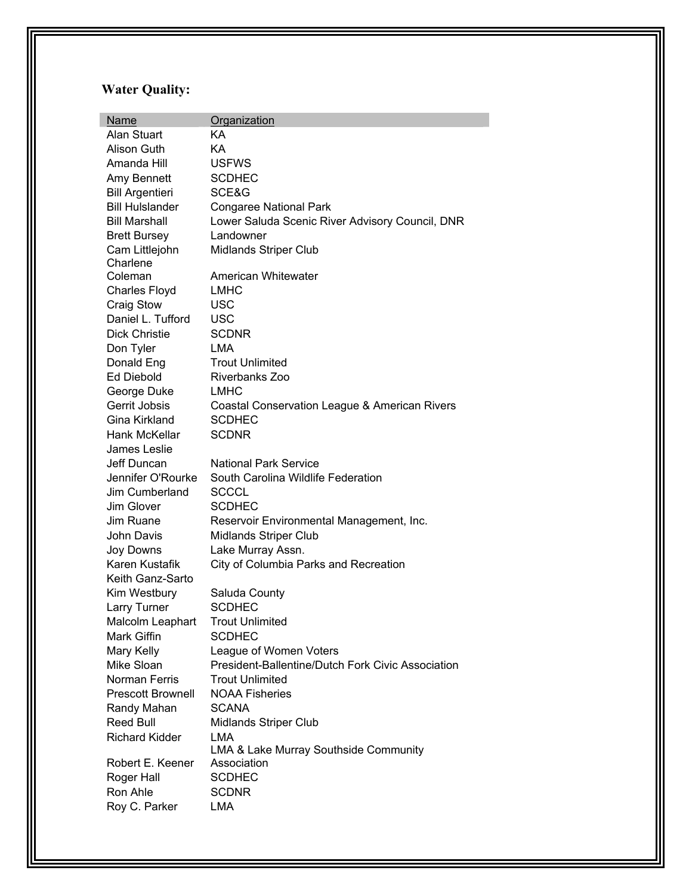# **Water Quality:**

| <b>Name</b>              | Organization                                                                |
|--------------------------|-----------------------------------------------------------------------------|
| Alan Stuart              | KA                                                                          |
| Alison Guth              | KA                                                                          |
| Amanda Hill              | <b>USFWS</b>                                                                |
| Amy Bennett              | <b>SCDHEC</b>                                                               |
| <b>Bill Argentieri</b>   | SCE&G                                                                       |
| <b>Bill Hulslander</b>   | <b>Congaree National Park</b>                                               |
| <b>Bill Marshall</b>     | Lower Saluda Scenic River Advisory Council, DNR                             |
| <b>Brett Bursey</b>      | Landowner                                                                   |
| Cam Littlejohn           | Midlands Striper Club                                                       |
| Charlene                 |                                                                             |
| Coleman                  | American Whitewater                                                         |
| <b>Charles Floyd</b>     | <b>LMHC</b>                                                                 |
| Craig Stow               | <b>USC</b>                                                                  |
| Daniel L. Tufford        | <b>USC</b>                                                                  |
| <b>Dick Christie</b>     | <b>SCDNR</b>                                                                |
| Don Tyler                | <b>LMA</b>                                                                  |
| Donald Eng               | <b>Trout Unlimited</b>                                                      |
| <b>Ed Diebold</b>        | Riverbanks Zoo                                                              |
| George Duke              | <b>LMHC</b>                                                                 |
| Gerrit Jobsis            | Coastal Conservation League & American Rivers                               |
| Gina Kirkland            | <b>SCDHEC</b>                                                               |
| Hank McKellar            | <b>SCDNR</b>                                                                |
| James Leslie             |                                                                             |
| Jeff Duncan              | <b>National Park Service</b>                                                |
| Jennifer O'Rourke        | South Carolina Wildlife Federation                                          |
| Jim Cumberland           | <b>SCCCL</b>                                                                |
| Jim Glover               | <b>SCDHEC</b>                                                               |
| Jim Ruane                | Reservoir Environmental Management, Inc.                                    |
| John Davis               | Midlands Striper Club                                                       |
| Joy Downs                | Lake Murray Assn.                                                           |
| Karen Kustafik           | City of Columbia Parks and Recreation                                       |
| Keith Ganz-Sarto         |                                                                             |
| Kim Westbury             | Saluda County                                                               |
| Larry Turner             | <b>SCDHEC</b>                                                               |
| Malcolm Leaphart         | <b>Trout Unlimited</b>                                                      |
| Mark Giffin              | <b>SCDHEC</b>                                                               |
| Mary Kelly<br>Mike Sloan | League of Women Voters<br>President-Ballentine/Dutch Fork Civic Association |
| Norman Ferris            | <b>Trout Unlimited</b>                                                      |
|                          |                                                                             |
| <b>Prescott Brownell</b> | <b>NOAA Fisheries</b>                                                       |
| Randy Mahan              | <b>SCANA</b>                                                                |
| Reed Bull                | <b>Midlands Striper Club</b><br>LMA                                         |
| <b>Richard Kidder</b>    | LMA & Lake Murray Southside Community                                       |
| Robert E. Keener         | Association                                                                 |
| Roger Hall               | <b>SCDHEC</b>                                                               |
| Ron Ahle                 | <b>SCDNR</b>                                                                |
| Roy C. Parker            | LMA                                                                         |
|                          |                                                                             |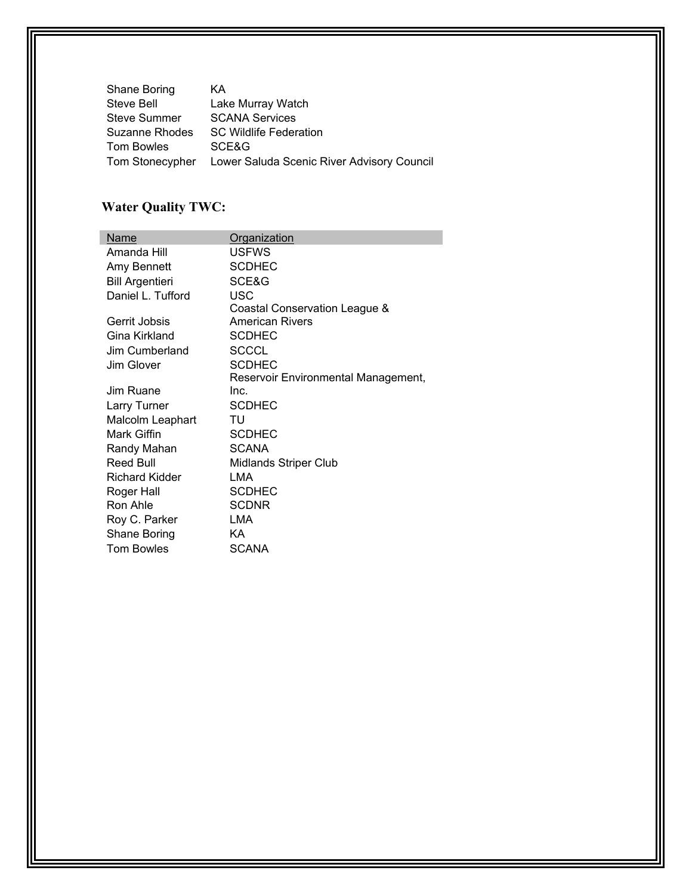| Shane Boring      | ΚA                                         |
|-------------------|--------------------------------------------|
| Steve Bell        | Lake Murray Watch                          |
| Steve Summer      | <b>SCANA Services</b>                      |
| Suzanne Rhodes    | <b>SC Wildlife Federation</b>              |
| <b>Tom Bowles</b> | SCE&G                                      |
| Tom Stonecypher   | Lower Saluda Scenic River Advisory Council |

# **Water Quality TWC:**

| Name                   | Organization                        |
|------------------------|-------------------------------------|
| Amanda Hill            | <b>USFWS</b>                        |
| Amy Bennett            | <b>SCDHEC</b>                       |
| <b>Bill Argentieri</b> | SCE&G                               |
| Daniel L. Tufford      | USC                                 |
|                        | Coastal Conservation League &       |
| Gerrit Jobsis          | American Rivers                     |
| Gina Kirkland          | <b>SCDHEC</b>                       |
| Jim Cumberland         | <b>SCCCL</b>                        |
| Jim Glover             | <b>SCDHEC</b>                       |
|                        | Reservoir Environmental Management, |
| Jim Ruane              | Inc.                                |
| Larry Turner           | <b>SCDHEC</b>                       |
| Malcolm Leaphart       | TU                                  |
| Mark Giffin            | <b>SCDHEC</b>                       |
| Randy Mahan            | <b>SCANA</b>                        |
| Reed Bull              | Midlands Striper Club               |
| <b>Richard Kidder</b>  | LMA                                 |
| Roger Hall             | <b>SCDHEC</b>                       |
| Ron Ahle               | <b>SCDNR</b>                        |
| Roy C. Parker          | LMA                                 |
| Shane Boring           | ΚA                                  |
| <b>Tom Bowles</b>      | <b>SCANA</b>                        |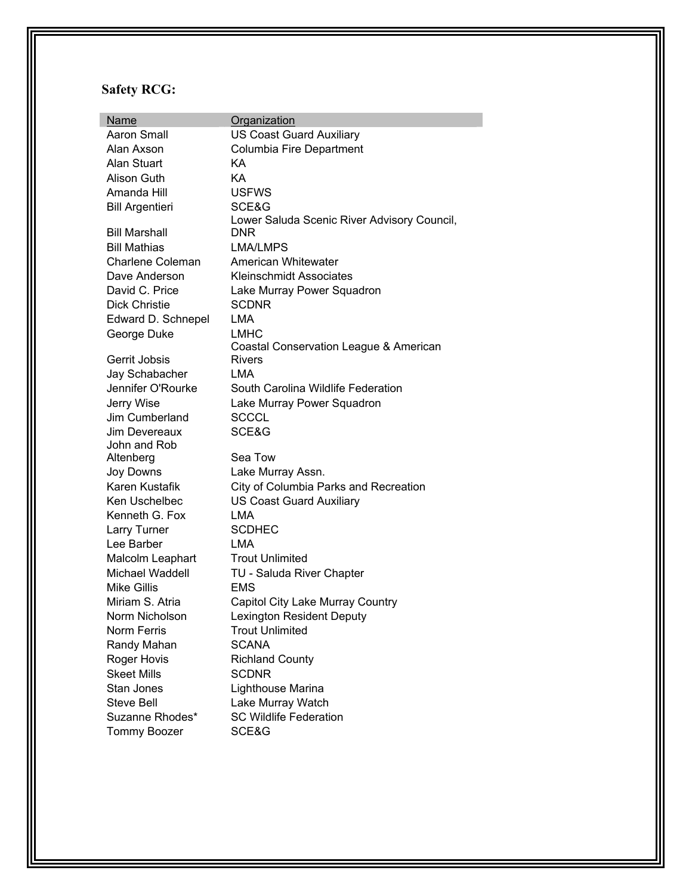## **Safety RCG:**

| Name                    | Organization                                |
|-------------------------|---------------------------------------------|
| Aaron Small             | <b>US Coast Guard Auxiliary</b>             |
| Alan Axson              | Columbia Fire Department                    |
| Alan Stuart             | KА                                          |
| Alison Guth             | KA                                          |
| Amanda Hill             | <b>USFWS</b>                                |
| <b>Bill Argentieri</b>  | SCE&G                                       |
|                         | Lower Saluda Scenic River Advisory Council, |
| <b>Bill Marshall</b>    | DNR                                         |
| <b>Bill Mathias</b>     | <b>LMA/LMPS</b>                             |
| <b>Charlene Coleman</b> | American Whitewater                         |
| Dave Anderson           | <b>Kleinschmidt Associates</b>              |
| David C. Price          | Lake Murray Power Squadron                  |
| <b>Dick Christie</b>    | <b>SCDNR</b>                                |
| Edward D. Schnepel      | <b>LMA</b>                                  |
| George Duke             | <b>LMHC</b>                                 |
|                         | Coastal Conservation League & American      |
| Gerrit Jobsis           | Rivers                                      |
| Jay Schabacher          | LMA                                         |
| Jennifer O'Rourke       | South Carolina Wildlife Federation          |
| Jerry Wise              | Lake Murray Power Squadron                  |
| Jim Cumberland          | <b>SCCCL</b>                                |
| Jim Devereaux           | SCE&G                                       |
| John and Rob            |                                             |
| Altenberg               | Sea Tow                                     |
| Joy Downs               | Lake Murray Assn.                           |
| Karen Kustafik          | City of Columbia Parks and Recreation       |
| Ken Uschelbec           | <b>US Coast Guard Auxiliary</b>             |
| Kenneth G. Fox          | <b>LMA</b>                                  |
| Larry Turner            | <b>SCDHEC</b>                               |
| Lee Barber              | LMA                                         |
| Malcolm Leaphart        | <b>Trout Unlimited</b>                      |
| Michael Waddell         | TU - Saluda River Chapter                   |
| <b>Mike Gillis</b>      | <b>EMS</b>                                  |
| Miriam S. Atria         | Capitol City Lake Murray Country            |
| Norm Nicholson          | <b>Lexington Resident Deputy</b>            |
| <b>Norm Ferris</b>      | <b>Trout Unlimited</b>                      |
| Randy Mahan             | <b>SCANA</b>                                |
| Roger Hovis             | <b>Richland County</b>                      |
| <b>Skeet Mills</b>      | <b>SCDNR</b>                                |
| Stan Jones              | Lighthouse Marina                           |
| <b>Steve Bell</b>       | Lake Murray Watch                           |
| Suzanne Rhodes*         | <b>SC Wildlife Federation</b>               |
| <b>Tommy Boozer</b>     | SCE&G                                       |
|                         |                                             |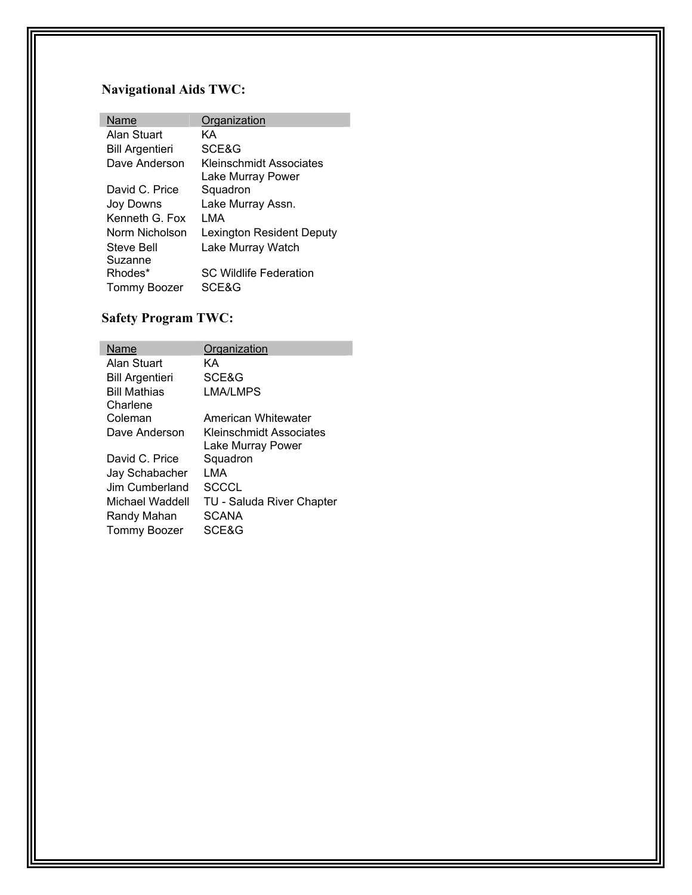# **Navigational Aids TWC:**

| Name                   | Organization                     |
|------------------------|----------------------------------|
| Alan Stuart            | KΑ                               |
| <b>Bill Argentieri</b> | SCE&G                            |
| Dave Anderson          | Kleinschmidt Associates          |
|                        | Lake Murray Power                |
| David C. Price         | Squadron                         |
| Joy Downs              | Lake Murray Assn.                |
| Kenneth G Fox          | I MA                             |
| Norm Nicholson         | <b>Lexington Resident Deputy</b> |
| Steve Bell             | Lake Murray Watch                |
| Suzanne                |                                  |
| Rhodes*                | <b>SC Wildlife Federation</b>    |
| <b>Tommy Boozer</b>    | SCE&G                            |

## **Safety Program TWC:**

| Name                   | Organization                     |
|------------------------|----------------------------------|
| Alan Stuart            | KΑ                               |
| <b>Bill Argentieri</b> | SCE&G                            |
| <b>Bill Mathias</b>    | LMA/LMPS                         |
| Charlene               |                                  |
| Coleman                | American Whitewater              |
| Dave Anderson          | Kleinschmidt Associates          |
|                        | Lake Murray Power                |
| David C. Price         | Squadron                         |
| Jay Schabacher         | I MA                             |
| Jim Cumberland         | SCCCL                            |
| Michael Waddell        | <b>TU - Saluda River Chapter</b> |
| Randy Mahan            | SCANA                            |
| Tommy Boozer           | SCE&G                            |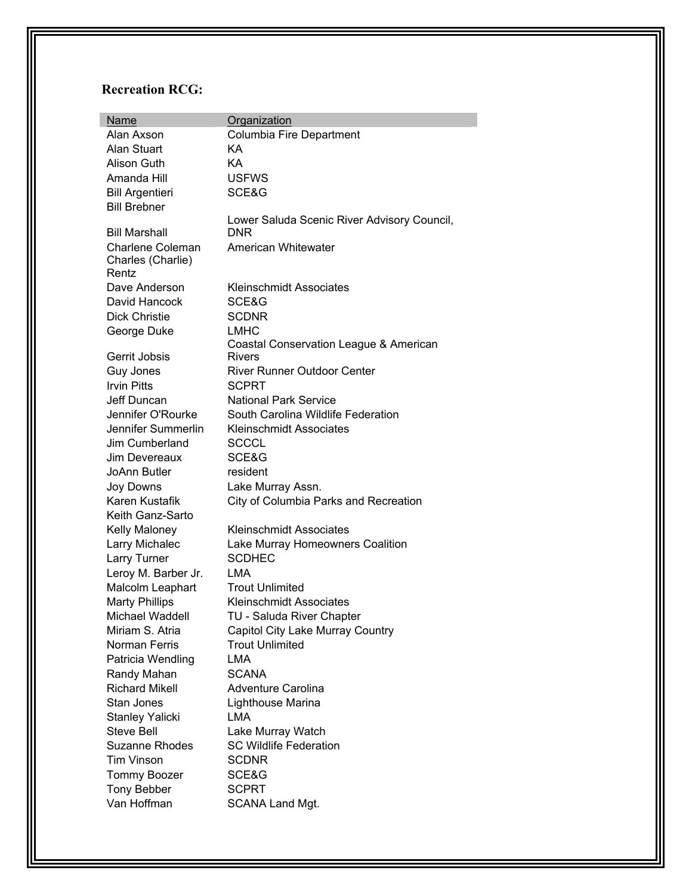## **Recreation RCG:**

| <b>Name</b>                | Organization                                |
|----------------------------|---------------------------------------------|
| Alan Axson                 | Columbia Fire Department                    |
| Alan Stuart                | KА                                          |
| Alison Guth                | KA                                          |
| Amanda Hill                | <b>USFWS</b>                                |
| <b>Bill Argentieri</b>     | SCE&G                                       |
| <b>Bill Brebner</b>        |                                             |
|                            | Lower Saluda Scenic River Advisory Council, |
| <b>Bill Marshall</b>       | DNR                                         |
| <b>Charlene Coleman</b>    | American Whitewater                         |
| Charles (Charlie)<br>Rentz |                                             |
| Dave Anderson              | <b>Kleinschmidt Associates</b>              |
| David Hancock              | SCE&G                                       |
| <b>Dick Christie</b>       | <b>SCDNR</b>                                |
| George Duke                | <b>LMHC</b>                                 |
|                            | Coastal Conservation League & American      |
| Gerrit Jobsis              | Rivers                                      |
| Guy Jones                  | <b>River Runner Outdoor Center</b>          |
| <b>Irvin Pitts</b>         | <b>SCPRT</b>                                |
| Jeff Duncan                | <b>National Park Service</b>                |
| Jennifer O'Rourke          | South Carolina Wildlife Federation          |
| Jennifer Summerlin         | <b>Kleinschmidt Associates</b>              |
| Jim Cumberland             | <b>SCCCL</b>                                |
| Jim Devereaux              | SCE&G                                       |
| JoAnn Butler               | resident                                    |
| Joy Downs                  | Lake Murray Assn.                           |
| Karen Kustafik             | City of Columbia Parks and Recreation       |
| Keith Ganz-Sarto           |                                             |
| Kelly Maloney              | <b>Kleinschmidt Associates</b>              |
| Larry Michalec             | Lake Murray Homeowners Coalition            |
| Larry Turner               | <b>SCDHEC</b>                               |
| Leroy M. Barber Jr.        | <b>LMA</b>                                  |
| Malcolm Leaphart           | <b>Trout Unlimited</b>                      |
| <b>Marty Phillips</b>      | <b>Kleinschmidt Associates</b>              |
| Michael Waddell            | TU - Saluda River Chapter                   |
| Miriam S. Atria            | Capitol City Lake Murray Country            |
| Norman Ferris              | <b>Trout Unlimited</b>                      |
| Patricia Wendling          | <b>LMA</b>                                  |
| Randy Mahan                | <b>SCANA</b>                                |
| <b>Richard Mikell</b>      | <b>Adventure Carolina</b>                   |
| Stan Jones                 | Lighthouse Marina                           |
| <b>Stanley Yalicki</b>     | LMA                                         |
| <b>Steve Bell</b>          | Lake Murray Watch                           |
| <b>Suzanne Rhodes</b>      | <b>SC Wildlife Federation</b>               |
| Tim Vinson                 | <b>SCDNR</b>                                |
| <b>Tommy Boozer</b>        | SCE&G                                       |
| <b>Tony Bebber</b>         | <b>SCPRT</b>                                |
| Van Hoffman                | SCANA Land Mgt.                             |